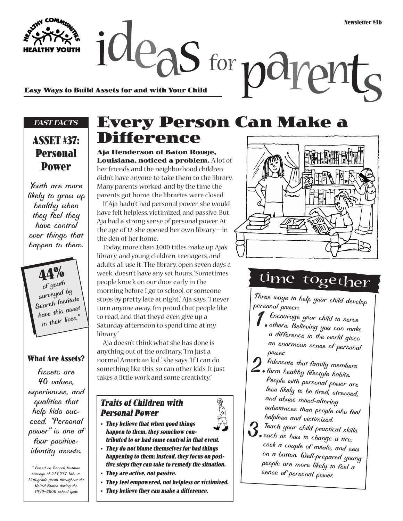Easy Ways to Build Assets for and with Your Child<br>Easy Ways to Build Assets for and with Your Child

**ASSET #37:**

**HY YOUTH** 

**Personal**

**Power**

*Youth are more likely to grow up healthy when they feel they have control over things that happen to them.*

**What Are Assets?** *Assets are 40 values, experiences, and qualities that help kids succeed. "Personal power" is one of four positiveidentity assets.*

**44%** *of youth*

*surveyed by Search Institute have this asset in their lives.\**

*\* Based on Search Institute surveys of 217,277 6th- to 12th-grade youth throughout the United States during the 1999–2000 school year.*

## *FAST FACTS* **Every Person Can Make a Difference**

**Aja Henderson of Baton Rouge, Louisiana, noticed a problem.** A lot of her friends and the neighborhood children didn't have anyone to take them to the library. Many parents worked, and by the time the parents got home, the libraries were closed.

If Aja hadn't had personal power, she would have felt helpless, victimized, and passive. But Aja had a strong sense of personal power. At the age of 12, she opened her own library—in the den of her home.

Today, more than 3,000 titles make up Aja's library, and young children, teenagers, and adults all use it. The library, open seven days a week, doesn't have any set hours. "Sometimes people knock on our door early in the morning before I go to school, or someone stops by pretty late at night," Aja says. "I never turn anyone away. I'm proud that people like to read, and that they'd even give up a Saturday afternoon to spend time at my library."

Aja doesn't think what she has done is anything out of the ordinary. "I'm just a normal American kid," she says. "If I can do something like this, so can other kids. It just takes a little work and some creativity."

#### **Traits of Children with Personal Power**

- **They believe that when good things happen to them, they somehow contributed to or had some control in that event.**
- **They do not blame themselves for bad things happening to them; instead, they focus on positive steps they can take to remedy the situation.**
- **They are active, not passive.**
- **They feel empowered, not helpless or victimized.**
- **They believe they can make a difference.**



# time together

*Three ways to help your child develop personal power:*

- *1.Encourage your child to serve others. Believing you can make a difference in the world gives an enormous sense of personal power.*
- *2.Advocate that family members form healthy lifestyle habits. People with personal power are less likely to be tired, stressed, and abuse mood-altering substances than people who feel helpless and victimized.*
- *3.Teach your child practical skills such as how to change a tire, cook a couple of meals, and sew on a button. Well-prepared young people are more likely to feel a sense of personal power.*